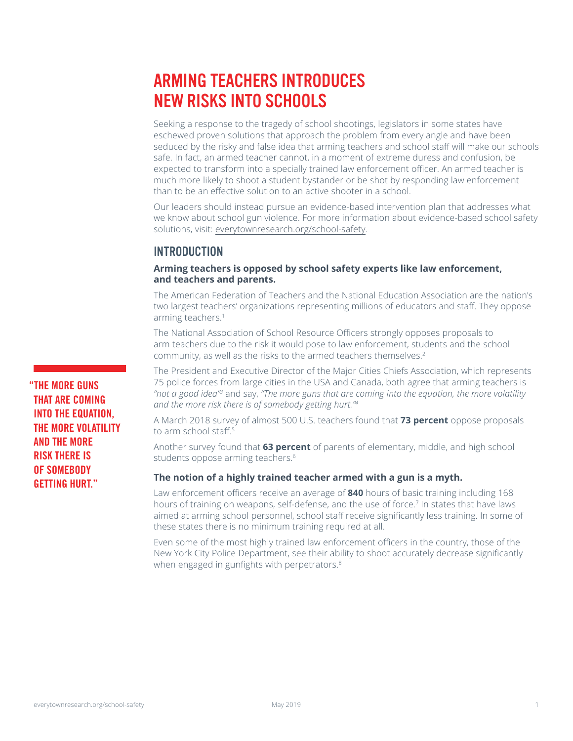# ARMING TEACHERS INTRODUCES NEW RISKS INTO SCHOOLS

Seeking a response to the tragedy of school shootings, legislators in some states have eschewed proven solutions that approach the problem from every angle and have been seduced by the risky and false idea that arming teachers and school staff will make our schools safe. In fact, an armed teacher cannot, in a moment of extreme duress and confusion, be expected to transform into a specially trained law enforcement officer. An armed teacher is much more likely to shoot a student bystander or be shot by responding law enforcement than to be an effective solution to an active shooter in a school.

Our leaders should instead pursue an evidence-based intervention plan that addresses what we know about school gun violence. For more information about evidence-based school safety solutions, visit: [everytownresearch.org/school-safety.](http://everytownresearch.org/school-safety)

# **INTRODUCTION**

**Arming teachers is opposed by school safety experts like law enforcement, and teachers and parents.**

The American Federation of Teachers and the National Education Association are the nation's two largest teachers' organizations representing millions of educators and staff. They oppose arming teachers.<sup>1</sup>

The National Association of School Resource Officers strongly opposes proposals to arm teachers due to the risk it would pose to law enforcement, students and the school community, as well as the risks to the armed teachers themselves.2

The President and Executive Director of the Major Cities Chiefs Association, which represents 75 police forces from large cities in the USA and Canada, both agree that arming teachers is *"not a good idea"3* and say, *"The more guns that are coming into the equation, the more volatility and the more risk there is of somebody getting hurt."4*

A March 2018 survey of almost 500 U.S. teachers found that **73 percent** oppose proposals to arm school staff<sup>5</sup>

Another survey found that **63 percent** of parents of elementary, middle, and high school students oppose arming teachers.<sup>6</sup>

#### **The notion of a highly trained teacher armed with a gun is a myth.**

Law enforcement officers receive an average of **840** hours of basic training including 168 hours of training on weapons, self-defense, and the use of force.<sup>7</sup> In states that have laws aimed at arming school personnel, school staff receive significantly less training. In some of these states there is no minimum training required at all.

Even some of the most highly trained law enforcement officers in the country, those of the New York City Police Department, see their ability to shoot accurately decrease significantly when engaged in gunfights with perpetrators.<sup>8</sup>

**"THE MORE GUNS THAT ARE COMING INTO THE EQUATION, THE MORE VOLATILITY AND THE MORE RISK THERE IS OF SOMEBODY GETTING HURT."**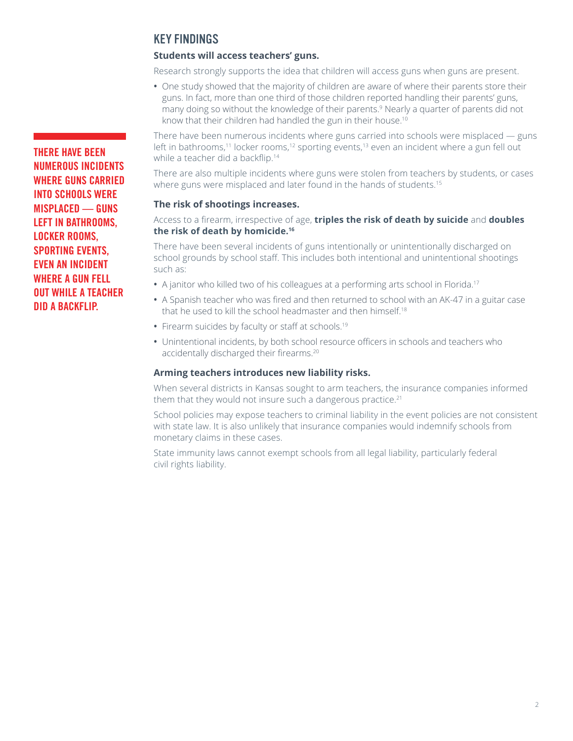# KEY FINDINGS

# **Students will access teachers' guns.**

Research strongly supports the idea that children will access guns when guns are present.

**•** One study showed that the majority of children are aware of where their parents store their guns. In fact, more than one third of those children reported handling their parents' guns, many doing so without the knowledge of their parents.<sup>9</sup> Nearly a quarter of parents did not know that their children had handled the gun in their house.<sup>10</sup>

There have been numerous incidents where guns carried into schools were misplaced — guns left in bathrooms,<sup>11</sup> locker rooms,<sup>12</sup> sporting events,<sup>13</sup> even an incident where a gun fell out while a teacher did a backflip.<sup>14</sup>

There are also multiple incidents where guns were stolen from teachers by students, or cases where guns were misplaced and later found in the hands of students.<sup>15</sup>

#### **The risk of shootings increases.**

#### Access to a firearm, irrespective of age, **triples the risk of death by suicide** and **doubles the risk of death by homicide.16**

There have been several incidents of guns intentionally or unintentionally discharged on school grounds by school staff. This includes both intentional and unintentional shootings such as:

- A janitor who killed two of his colleagues at a performing arts school in Florida.<sup>17</sup>
- **•** A Spanish teacher who was fired and then returned to school with an AK-47 in a guitar case that he used to kill the school headmaster and then himself.<sup>18</sup>
- Firearm suicides by faculty or staff at schools.<sup>19</sup>
- **•** Unintentional incidents, by both school resource officers in schools and teachers who accidentally discharged their firearms.20

## **Arming teachers introduces new liability risks.**

When several districts in Kansas sought to arm teachers, the insurance companies informed them that they would not insure such a dangerous practice.<sup>21</sup>

School policies may expose teachers to criminal liability in the event policies are not consistent with state law. It is also unlikely that insurance companies would indemnify schools from monetary claims in these cases.

State immunity laws cannot exempt schools from all legal liability, particularly federal civil rights liability.

**THERE HAVE BEEN NUMEROUS INCIDENTS WHERE GUNS CARRIED INTO SCHOOLS WERE MISPLACED — GUNS LEFT IN BATHROOMS, LOCKER ROOMS, SPORTING EVENTS, EVEN AN INCIDENT WHERE A GUN FELL OUT WHILE A TEACHER DID A BACKFLIP.**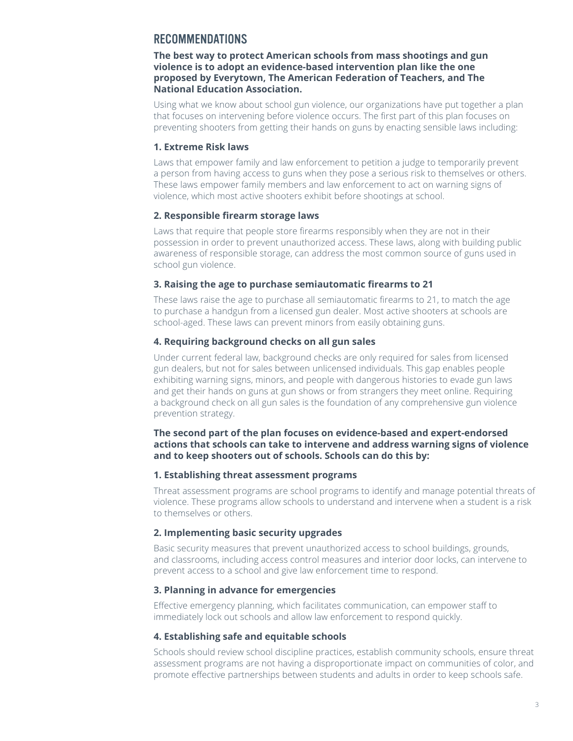# RECOMMENDATIONS

#### **The best way to protect American schools from mass shootings and gun violence is to adopt an evidence-based intervention plan like the one proposed by Everytown, The American Federation of Teachers, and The National Education Association.**

Using what we know about school gun violence, our organizations have put together a plan that focuses on intervening before violence occurs. The first part of this plan focuses on preventing shooters from getting their hands on guns by enacting sensible laws including:

#### **1. Extreme Risk laws**

Laws that empower family and law enforcement to petition a judge to temporarily prevent a person from having access to guns when they pose a serious risk to themselves or others. These laws empower family members and law enforcement to act on warning signs of violence, which most active shooters exhibit before shootings at school.

#### **2. Responsible firearm storage laws**

Laws that require that people store firearms responsibly when they are not in their possession in order to prevent unauthorized access. These laws, along with building public awareness of responsible storage, can address the most common source of guns used in school gun violence.

#### **3. Raising the age to purchase semiautomatic firearms to 21**

These laws raise the age to purchase all semiautomatic firearms to 21, to match the age to purchase a handgun from a licensed gun dealer. Most active shooters at schools are school-aged. These laws can prevent minors from easily obtaining guns.

# **4. Requiring background checks on all gun sales**

Under current federal law, background checks are only required for sales from licensed gun dealers, but not for sales between unlicensed individuals. This gap enables people exhibiting warning signs, minors, and people with dangerous histories to evade gun laws and get their hands on guns at gun shows or from strangers they meet online. Requiring a background check on all gun sales is the foundation of any comprehensive gun violence prevention strategy.

#### **The second part of the plan focuses on evidence-based and expert-endorsed actions that schools can take to intervene and address warning signs of violence and to keep shooters out of schools. Schools can do this by:**

#### **1. Establishing threat assessment programs**

Threat assessment programs are school programs to identify and manage potential threats of violence. These programs allow schools to understand and intervene when a student is a risk to themselves or others.

# **2. Implementing basic security upgrades**

Basic security measures that prevent unauthorized access to school buildings, grounds, and classrooms, including access control measures and interior door locks, can intervene to prevent access to a school and give law enforcement time to respond.

#### **3. Planning in advance for emergencies**

Effective emergency planning, which facilitates communication, can empower staff to immediately lock out schools and allow law enforcement to respond quickly.

#### **4. Establishing safe and equitable schools**

Schools should review school discipline practices, establish community schools, ensure threat assessment programs are not having a disproportionate impact on communities of color, and promote effective partnerships between students and adults in order to keep schools safe.